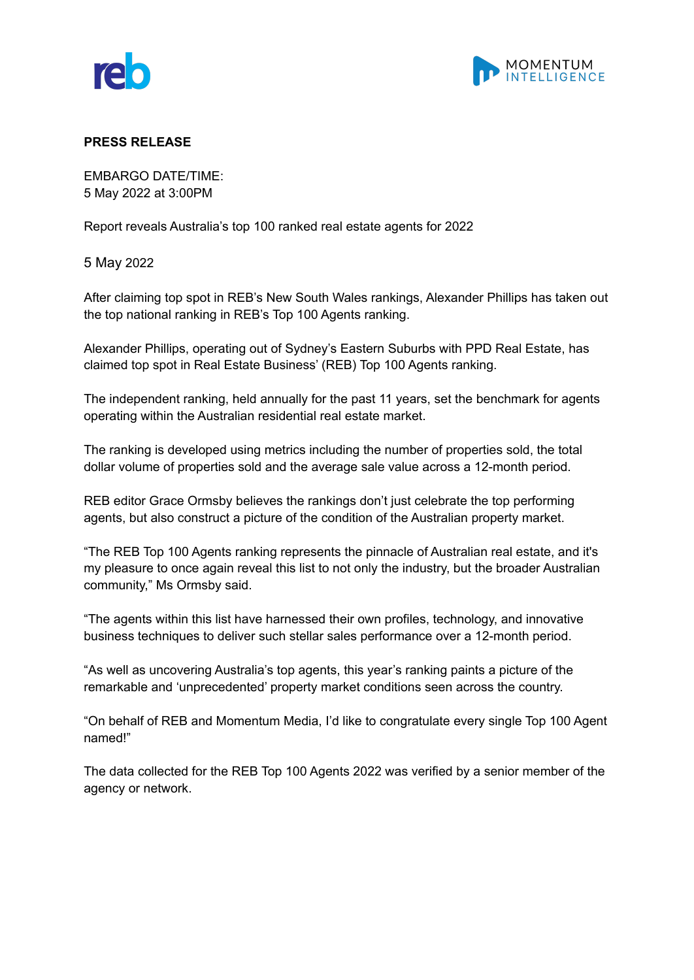



## **PRESS RELEASE**

EMBARGO DATE/TIME: 5 May 2022 at 3:00PM

Report reveals Australia's top 100 ranked real estate agents for 2022

5 May 2022

After claiming top spot in REB's New South Wales rankings, Alexander Phillips has taken out the top national ranking in REB's Top 100 Agents ranking.

Alexander Phillips, operating out of Sydney's Eastern Suburbs with PPD Real Estate, has claimed top spot in Real Estate Business' (REB) Top 100 Agents ranking.

The independent ranking, held annually for the past 11 years, set the benchmark for agents operating within the Australian residential real estate market.

The ranking is developed using metrics including the number of properties sold, the total dollar volume of properties sold and the average sale value across a 12-month period.

REB editor Grace Ormsby believes the rankings don't just celebrate the top performing agents, but also construct a picture of the condition of the Australian property market.

"The REB Top 100 Agents ranking represents the pinnacle of Australian real estate, and it's my pleasure to once again reveal this list to not only the industry, but the broader Australian community," Ms Ormsby said.

"The agents within this list have harnessed their own profiles, technology, and innovative business techniques to deliver such stellar sales performance over a 12-month period.

"As well as uncovering Australia's top agents, this year's ranking paints a picture of the remarkable and 'unprecedented' property market conditions seen across the country.

"On behalf of REB and Momentum Media, I'd like to congratulate every single Top 100 Agent named!"

The data collected for the REB Top 100 Agents 2022 was verified by a senior member of the agency or network.